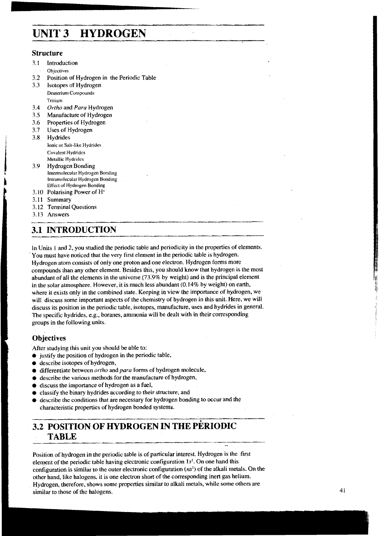# **UNIT 3 HYDROGEN**

#### **Structure**

- 3.1 Introduction
- Objectives
- 3.2 Position of Hydrogen in the Periodic Table
- Isotopes of Hydrogen Deuterium Compounds
	- Tritium
- *3.4 Ortho* and *Para* Hydrogen
- 3.5 Manufacture of Hydrogen
- 3.6 Properties of Hydrogen
- 3.7 Uses of Hydrogen
- 3.8, Hydrides Ionic or Salt-like Hydrides Covalent Hydrides MetaIlic Hydrides
- 3.9 Hydrogen Bonding Intermolecular Hydrogen Bonding<br>Intramolecular Hydrogen Bonding Intramolecular Hydrogen Bonding<br>Effect of Hydrogen Bonding<br>3.10 Polarising Power of H<sup>+</sup><br>3.11 Summary<br>3.12 Terminal Questions<br>3.13 Answers<br>**3.11 INTRODUCTION** 
	- 3.10 Polarising Power of H+
	- 3.11 Summary
	- 3.12 Terminal Questions
	- 3.13 Answers

## **3.1 INTRODUCTION**

In Units I and 2, you studied the periodic table and periodicity in the properties of elements. You must have noticed that the very first element in the periodic table is hydrogen. Hydrogen atom consists of only one proton and one electron. Hydrogen forms more compounds than any other element. Besides this, you should know that hydrogen is the most abundant of all the elements in the universe (73.9% by weight) and is the principal element in the solar atmosphere. However, it is much less abundant (0.14% by weight) on earth, where it exists only in the combined state. Keeping in view the importance of hydrogen, we will discuss some important aspects of the chemistry of hydrogen in this unit. Here, we will discuss its position in the periodic table, isotopes, manufacture, uses and hydrides in general. The specific hydrides, e.g., boranes, ammonia will be dealt with in their corresponding groups in the following units.

## **Objectives**

After studying this unit you should be able to:

- $\bullet$  justify the position of hydrogen in the periodic table,
- describe isotopes of hydrogen,
- differentiate between *ortho* and para forms of hydrogen molecule,
- describe the various methods for the manufacture of hydrogen,
- discuss the importance of hydrogen as a fuel,
- classify the binary hydrides according to their structure, and
- describe the conditions that are necessary for hydrogen bonding to occur and the characteristic properties of hydrogen bonded systems.

## **3.2 POSITION OF HYDROGEN IN THE PERIODIC TABLE**

Position of hydrogen in the periodic table is of particular interest. Hydrogen is the first element of the periodic table having electronic configuration **Is'.** On one hand this configuration is similar to the outer electronic configuration **(ns')** of the alkali metals. On the other hand, like halogens, it is one electron short of the corresponding inert gas helium. Hydrogen, therefore, shows some properties similar to alkali metals, while some others are similar to those of the halogens.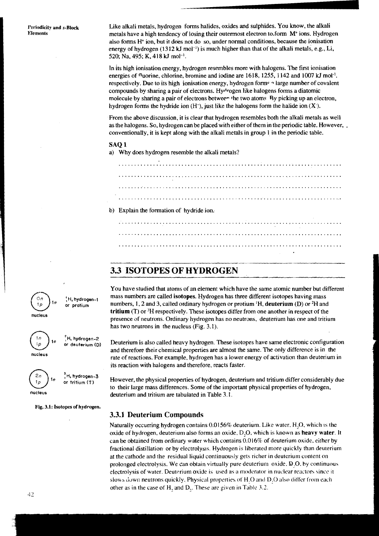Like alkali metals, hydrogen forms halides, oxides and sulphides. You know, the alkali metals have a high tendency of losing their outermost electron to,form **Mt** ions. Hydrogen also forms  $H<sup>+</sup>$  ion, but it does not do so, under normal conditions, because the ionisation energy of hydrogen  $(1312 \text{ kJ mol}^{-1})$  is much higher than that of the alkali metals, e.g., Li, 520; Na, 495; **K,** 41 8 **kJ** mol-'.

In its high ionisation energy, hydrogen resembles more with halogens. The first ionisation energies of fluorine, chlorine, bromine and iodine are 161 8, 1255, 1142 and 1007 **kJ** mol-'. respectively. Due to its high ionisation energy, hydrogen forms a large number of covalent compounds by sharing a pair of electrons. Hydrogen like halogens forms a diatomic molecule by sharing a pair of electrons between the two atoms. By picking up an electron, hydrogen forms the hydride ion  $(H^-)$ , just like the halogens form the halide ion  $(X^-)$ .

From the above discussion, it is clear that hydrogen resembles both the alkali metals as well as the halogens. So, hydrogen can be placed with either of them in the periodic table. However, . conventionally, it is kept along with the alkali metals in group **1** in the periodic table.

#### SAQ 1

a) Why does hydrogen resemble the alkali metals?

b) Explain the formation of hydride ion; 

## **3.3 ISOTOPES OF HYDROGEN**

You have studied that atoms of an element which have the same atomic number but different mass numbers are called **isotopes.** Hydrogen has three different isotopes having mass numbers, 1.2 and 3, called ordinary hydrogen or protium **'H, deuterium** (D) or **ZH** and **tritium** (T) or 3H respectively. These isotopes differ from one another in respect of the presence of neutrons. Ordinary hydrogen has no neutrons, deuterium has one and tritium has two neutrons in the nucleus (Fig. 3.1).

Deuterium is also called heavy hydrogen. These isotopes have same electronic configuration and therefore their chemical properties are almost the same. The only difference is in the rate of reactions. For example, hydrogen has a lower energy of activation than deuterium in its reaction with halogens and therefore, reacts faster.

However, the physical properties of hydrogen, deuterium and tritium differ considerably due to their large mass differences. Some of the important physical properties of hydrogen, deuterium and tritium are tabulated in Table 3.1.

### **3.3.1 Deuterium Compounds**

Naturally occurring hydrogen contains  $0.0156%$  deuterium. Like water, H<sub>2</sub>O, which is the oxide of hydrogen, deuterium also forms an oxide, D<sub>2</sub>O, which is known as heavy water. It can be obtained from ordinary water which contains 0.016% of deuterium oxide, either by fractional distillation or by electrolysis. Hydrogen is liberated more quickly than deuterium at the cathode and the residual liquid continuously gets richer in deuterium content on prolonged electrolysis. We can obtain virtually pure deuterium  $\alpha$ ide.  $D, O$ , by continuous electrolysis of water. Deuterium oxide is used as a moderator in nuclear reactors since it slows down neutrons quickly. Physical properties of H,O and D,O also differ from each other as in the case of H, and D,. These are given in Table 3.2.



: **H, hydrogen-1 1 <sup>e</sup>or protium** 

**or deuterium** (Dl



For profilm<br>  $\begin{pmatrix} 1n \\ 1p \end{pmatrix}$  1e  $\begin{pmatrix} 2n \\ 1n \\ 2n \end{pmatrix}$  is the profilm<br>  $\begin{pmatrix} 1n \\ 1p \end{pmatrix}$  1e  $\begin{pmatrix} 2n \\ 1n \\ 2n \end{pmatrix}$  are deuterium (D) **nucleus** 

 $\begin{pmatrix} 2n \\ 1\rho \end{pmatrix}$  1e  $\begin{pmatrix} 1 \\ 1 \end{pmatrix}$  **H**, hydrogen-3 **le or tritium (TI** 

**nucleus** 

**Fig. 3.1: Isotopes of hydrogen.**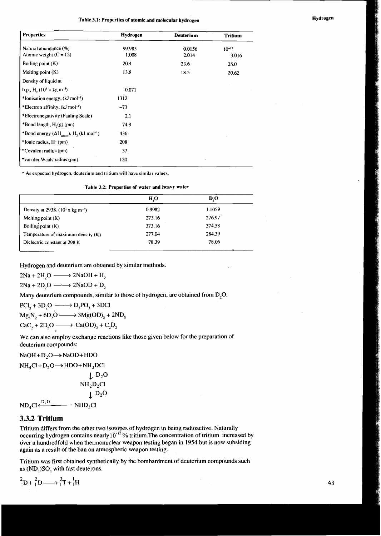## **Table 3.1: Properties of atomic and molecular hydrogen <b>and increases Hydrogen Hydrogen**

| <b>Properties</b>                                                                | Hydrogen        | Deuterium       | <b>Tritium</b>      |
|----------------------------------------------------------------------------------|-----------------|-----------------|---------------------|
| Natural abundance (%)<br>Atomic weight $(C = 12)$                                | 99.985<br>1.008 | 0.0156<br>2.014 | $10^{-15}$<br>3.016 |
| Boiling point (K)                                                                | 20.4            | 23.6            | 25.0                |
| Melting point $(K)$                                                              | 13.8            | 18.5            | 20.62               |
| Density of liquid at                                                             |                 |                 |                     |
| b.p., H <sub>2</sub> ( $103 \times$ kg m <sup>-3</sup> )                         | 0.071           |                 |                     |
| *Ionisation energy, $(kJ \text{ mol}^{-1})$                                      | 1312            |                 |                     |
| *Electron affinity, (kJ mol <sup>-i</sup> )                                      | $-73$           |                 |                     |
| *Electronegativity (Pauling Scale)                                               | 2.1             |                 |                     |
| *Bond length, $H2(g)$ (pm)                                                       | 74.9            |                 |                     |
| *Bond energy $(\Delta H_{\text{atom}})$ , H <sub>2</sub> (kJ mol <sup>-1</sup> ) | 436             |                 |                     |
| *lonic radius, H <sup>-</sup> (pm)                                               | 208             |                 |                     |
| *Covalent radius (pm)                                                            | 37              |                 |                     |
| *van der Waals radius (pm)                                                       | 120             |                 |                     |

\* As expected hydrogen, deuterium and tritium will have similar values.

|  | Table 3.2: Properties of water and heavy water |  |  |  |  |  |
|--|------------------------------------------------|--|--|--|--|--|
|--|------------------------------------------------|--|--|--|--|--|

|                                              | H <sub>2</sub> O | $D_{\rm A}$ |
|----------------------------------------------|------------------|-------------|
| Density at 293K $(10^3 x \text{ kg m}^{-3})$ | 0.9982           | 1.1059      |
| Melting point $(K)$                          | 273.16           | 276.97      |
| Boiling point (K)                            | 373.16           | 374.58      |
| Temperature of maximum density $(K)$         | 277.04           | 284.39      |
| Dielectric constant at 298 K                 | 78.39            | 78.06       |

Hydrogen and deuterium are obtained by similar methods.

 $2Na + 2H_2O \longrightarrow 2NaOH + H_2$ 

 $2Na + 2D_2O \longrightarrow 2NaOD + D_2$ 

Many deuterium compounds, similar to those of hydrogen, are obtained from  $D_2O$ .

$$
2Na + 2H_2O \longrightarrow 2NaOH + H_2
$$
  
\n
$$
2Na + 2D_2O \longrightarrow 2NaOD + D_2
$$
  
\nMany deuterium compounds, similar to the  
\n
$$
PCl_3 + 3D_2O \longrightarrow D_3PO_3 + 3DCI
$$
  
\n
$$
Mg_3N_2 + 6D_2O \longrightarrow 3Mg(OD)_2 + 2ND_3
$$
  
\n
$$
CaC_2 + 2D_2O \longrightarrow Ca(OD)_2 + C_2D_2
$$
  
\nWe can also employ exchange reactions lik

We can also employ exchange reactions like those given below for the preparation of deuterium compounds;

 $NaOH + D<sub>2</sub>O \rightarrow NaOD + HDO$ 

$$
NH4Cl+D2O \rightarrow HDO + NH3DCI
$$
  
\n
$$
\downarrow D2O
$$
  
\n
$$
NH2D2Cl
$$
  
\n
$$
\downarrow D2O
$$
  
\n
$$
ND4Cl \xleftarrow{D2O} \longrightarrow NHD3Cl
$$

### 3.3.2 Tritium

Tritium differs from the other two isotopes of hydrogen in being radioactive. Naturally occurring hydrogen contains nearly 10<sup>-15</sup>% tritium.The concentration of tritium increased by over a hundredfold when thermonuclear weapon testing began in 1954 but is now subsiding again as a result of the ban on atmospheric weapon testing.

Tritium was first obtained synthetically by the bombardment of deuterium compounds such as  $(ND<sub>4</sub>)SO<sub>4</sub>$  with fast deuterons.

$$
{}^{2}_{1}D + {}^{2}_{1}D \longrightarrow {}^{3}_{1}T + {}^{1}_{1}H
$$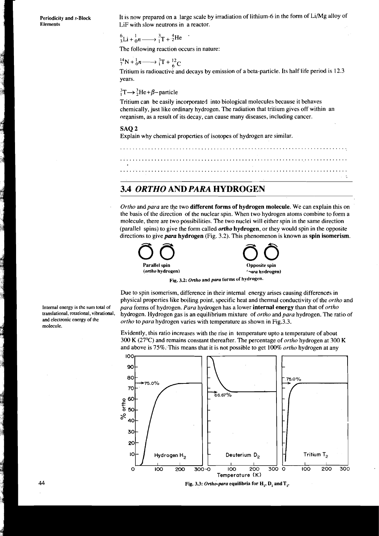**Periodicity and s-Block Elements** 

It is now prepared on a large scale by irradiation of lithium-6 in the form of Li/Mg alloy of LiF with slow neutrons in a reactor.

 ${}_{2}^{6}$ Li +  ${}_{0}^{1}n \longrightarrow {}_{1}^{3}T+{}_{2}^{4}He$ 

The following reaction occurs in nature:

## $^{14}_{7}N + ^{1}_{0}n \longrightarrow ^{3}_{1}T + ^{12}_{6}C$

Tritium is radioactive and decays by emission of a beta-particle. Its half life period is 12.3 years.

### ${}_{1}^{3}T \rightarrow {}_{2}^{3}He + \beta$ -particle

Tritium can be easily incorporated into biological molecules because it behaves chemically, just like ordinary hydrogen. The radiation that tritium gives off within an organism, as a result of its decay, can cause many diseases, including cancer.

#### SAQ<sub>2</sub>

Explain why chemical properties of isotopes of hydrogen are similar.

......................................................................... ......................................................................... .........................................................................

## *3.4 ORTHO* **AND** *PARA* **HYDROGEN**

*Ortho* and *para* are the two **different forms of hydrogen molecule.** We can explain this on the basis of the direction of the nuclear spin. When two hydrogen atoms combine to form a molecule, there are two possibilities. The two nuclei will either spin in the same direction (parallel spins) to give the form called *ortho* **hydrogen,** or they would spin in the opposite directions to give para **hydrogen** (Fig. 3.2). This phenomenon is known as **spin isomerism.** 



**Fig. 3.2: Ortho and** *para* **forms of hydrogen.** 

Due to spin isomerism, difference in their internal energy arises causing differences in physical properties like boiling point, specific heat and thermal conductivity of the *ortho* and **Internal energy is the sum total of** *para* forms of hydrogen. *Para* hydrogen has a lower **internal energy** than that of *ortho*  translational, rotational, vibrational, **hydrogen.** Hydrogen gas is an equilibrium mixture of *ortho* and *para* hydrogen. The ratio of and electronic energy of the *ortho* to *para* bydrogen varies with temperature as sho *ortho* to *para* hydrogen varies with temperature as shown in Fig.3.3.

> Evidently, this ratio increases with the rise in temperature upto a temperature of about 300 K (27OC) and remains constant thereafter. The percentage of *ortho* hydrogen at *300* K and above is 75%:-This means that it is not possible to get 100% *ortho* hydrogen at any



Fig. 3.3: Ortho-para equilibria for H<sub>2</sub>, D<sub>2</sub> and T<sub>2</sub>.

**molecule.**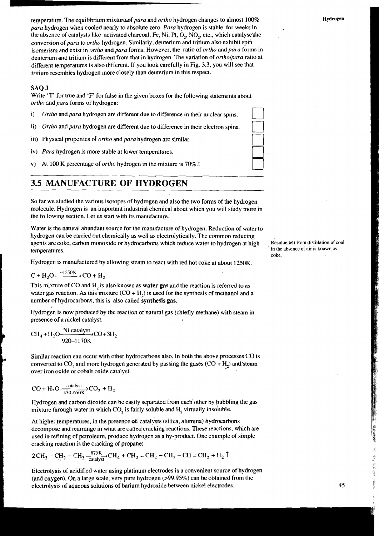temperature. The equilibrium mixture of para and *ortho* hydrogen changes to almost 100% *para* hydrogen when cooled nearly to absolute zero. *Para* hydrogen is stable for weeks in the absence of catalysts like activated charcoal, Fe, Ni, Pt, O<sub>1</sub>, NO<sub>2</sub>, etc., which catalyse the conversion of *para* to *ortho* hydrogen. Similarly, deuterium and tritium also exhibit spin isomerism and exist in *ortho* and *para* forms. However, the ratio 6f *ortho* and *para* forms in deuterium-and tritium is different from that in hydrogen. The variation of *ortholpara* ratio at different temperatures is also different. If you look carefully in Fig. 3.3, you will see that tritium resembles hydrogen more closely than deuterium in this respect. for weeks in<br>
ich catalyse the<br>
exhibit spin<br>
d *para* forms in<br> *holpara* ratio at<br>
will see that<br>
ments about<br>
spins.<br>
spins.<br>
spins.

#### SAQ 3

Write 'T' for true and **'F'** for false in the given boxes for the following statements about *ortho* and *para* forms of hydrogen:

- i) Ortho and para hydrogen are different due to difference in their nuclear
- ii) *Ortho* and *para* hydrogen are different due to difference in their electron spins.
- iii) Physical properties of *ortho* and *para* hydrogen are similar.
- iv) *Para* hydrogen is more stable at lower temperatures.
- v) At 100 K percentage of *orrho* hydrogen in the mixture is 70%.!

## **3.5 MANUFACTURE OF HYDROGEN**

So far we studied the various isotopes of hydrogen and also the two forms of the hydrogen molecule. Hydrogen is an important industrial chemical about which you will study more in the following section. Let us start with its manufacture.

Water is the natural abundant source for the manufacture of hydrogen. Reduction of water to hydrogen can be carried out chemically as well as electrolytically. The common reducing agents are coke, carbon monoxide or hydrocarbons which reduce water to hydrogen at high , **Residue left from distillation of coal**  temperatures.

Hydrogen is manufactured by allowing steam to react with red hot coke at about 1250K.

$$
C + H_2O \xrightarrow{-1250K} CO + H_2
$$

This mixture of CO and H<sub>2</sub> is also known as **water gas** and the reaction is referred to as water gas reaction. As this mixture  $(CO + H<sub>2</sub>)$  is used for the synthesis of methanol and a number of hydrocarbons, this is also called **synthesis gas.** 

Hydrogen is now produced by the reaction of natural gas (chiefly methane) with steam in presence of a nickel catalyst.

$$
\text{CH}_4 + \text{H}_2\text{O} \xrightarrow{ \text{Ni catalyst} } \text{CO} + 3\text{H}_2
$$

Similar reaction can occur with other hydrocarbons also. In both the above processes  $CO$  is converted to  $CO$ , and more hydrogen generated by passing the gases  $(CO + H<sub>2</sub>)$  and steam over iron oxide or cobalt oxide catalyst.

$$
CO + H_2O \xrightarrow[450.650 \text{K}]{\text{calyst}} CO_2 + H_2
$$

Hydrogen and carbon dioxide can be easily separated from each other by bubbling the gas mixture through water in which  $CO<sub>2</sub>$  is fairly soluble and  $H<sub>2</sub>$  virtually insoluble.

At higher temperatures, in the presence of catalysts (silica, alumina) hydrocarbons decompose and rearrange in what are called cracking reactions. These reactions, which are used in refining of petroleum, produce hydrogen as a by-product. One example of simple cracking reaction is the cracking of propane:

2CH<sub>3</sub> - CH<sub>2</sub> - CH<sub>3</sub> 
$$
\frac{875 \text{K}}{\text{catalyst}}\cdot \text{CH}_4 + \text{CH}_2 = \text{CH}_2 + \text{CH}_3 - \text{CH} = \text{CH}_2 + \text{H}_2 \uparrow
$$

Electrolysis of acidified water using platinum electrodes is a convenient source of hydrogen (and oxygen). On a large scale, very pure hydrogen (>99.95%) can be obtained from the electrolysis of aqueous solutions of barium hydroxide between nickel electrodes.



 $\Box$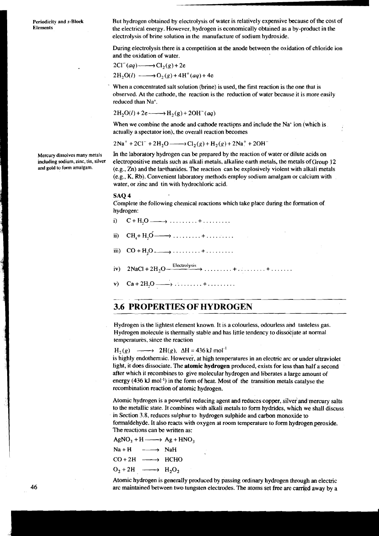**Periodicity and s-Block Elements** 

But hydrogen obtained by electrolysis of water is relatively expensive because of the cost of the electrical energy. However, hydrogen is economically obtained as a by-product in the electrolysis of brine solution in the manufacture of sodium hydroxide.

During electrolysis there is a competition at the anode between the oxidation of chloride ion and the oxidation of water.

and the oxidation of water.  
\n
$$
2Cl^{(2)}(aq) \longrightarrow Cl_{2}(g) + 2e
$$
\n
$$
2H_{2}O(l) \longrightarrow O_{2}(g) + 4H^{+}(aq) + 4e
$$

When a concentrated salt solution (brine) is used, the first reaction is the one that is observed. At the cathode, the reaction is the reduction of water because it is more easily reduced than Na+.

 $2H_2O(l) + 2e \longrightarrow H_2(g) + 2OH^-(aq)$ 

When we combine the anode and cathode reactions and include the  $Na<sup>+</sup>$  ion (which is actually a spectator ion), the overall reaction becomes

$$
2Na^{+} + 2Cl^{-} + 2H_{2}O \longrightarrow Cl_{2}(g) + H_{2}(g) + 2Na^{+} + 2OH^{-}
$$

In the laboratory hydrogen can **be** prepared by the reaction of water or dilute acids on electropositive metals such as alkali metals, alkaline earth metals, the metals ofGroup 12 (e.g., Zn) and the larthanides. The reaction can **be** explosively violent with alkali metals (e.g., K, Rb). Convenient laboratory methods employ sodium amalgam or calcium with water, or zinc and tin with hydrochloric acid.

#### SAQ 4

Complete the following chemical reactions which take place during the formation of hydrogen:

- i)  $C+H_1O \longrightarrow \ldots \ldots \longrightarrow \ldots$
- $CH<sub>4</sub> + H<sub>2</sub>0 \longrightarrow \ldots \ldots \ldots + \ldots \ldots$ ii)
- iii)  $CO + H_2O$   $\longrightarrow$  ......... + .........
- iv)  $2\text{NaCl} + 2\text{H}_2\text{O} + \frac{\text{Electrolysis}}{\text{O}} \rightarrow \ldots \ldots \ldots + \ldots \ldots + \ldots$
- v)

## **3.6 PROPERTIES OF HYDROGEN**

Hydrogen is the lightest element known. It is a colourless, odourless and tasteless gas. Hydrogen molecule is thermally stable and has little tendency to dissokiate at normal temperatures, since the reaction **3.6 PROPERTIES OF HYDROGEN**<br>Hydrogen is the lightest element known. It is a colourless, odourless and tasteless gas.<br>Hydrogen molecule is thermally stable and has little tendency to dissociate at normal<br>temperatures, sin

light, it does dissociate. The atomic hydrogen produced, exists for less than half **a** second after which it recombines to give molecular hydrogen and liberates a large amount of energy (436 kJ mol<sup>-1</sup>) in the form of heat. Most of the transition metals catalyse the recombination reaction of atomic hydrogen.

Atomic hydrogen is a powerful reducing agent and reduces copper, silver and mercury salts to the metallic state. It combines with alkali metals to form hydrides, which we shall discuss in Section 3.8, reduces sulphur to hydrogen sulphide and carbon monoxide to formaldehyde. It also reacts with oxygen at room temperature to form hydrogen peroxide. The reactions can be written as: Atomic hydrogen is a powerful r<br>to the metallic state. It combines<br>in Section 3.8, reduces sulphur to<br>formaldehyde. It also reacts with<br>The reactions can be written as:<br>AgNO<sub>3</sub> + H ——> Ag + HNO<sub>3</sub><br>Na + H ——> NaH

$$
AgNO3 + H \longrightarrow Ag + HNO3
$$
  
\n
$$
Na + H \longrightarrow NaH
$$
  
\n
$$
CO + 2H \longrightarrow HCHO
$$
  
\n
$$
O2 + 2H \longrightarrow H2O2
$$

$$
O_2 + 2H \longrightarrow H_2O_2
$$

Atomic hydrogen is generally produced by passing ordinary hydrogen through an electric arc maintained between two tungsten electrodes. The atoms set free are carried away by a

**Mercury dissolves many metals including sodium, zinc, tin, silver and gold to form amalgam.**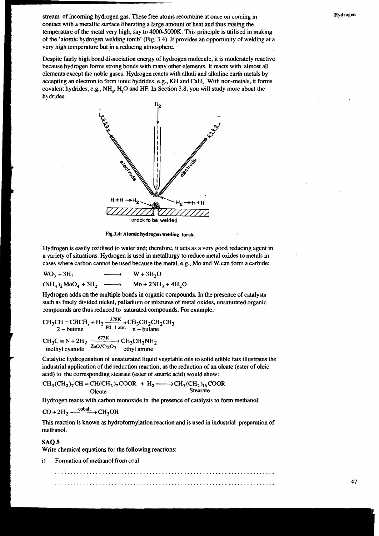stream of incoming hydrogen gas. These free atoms recombine at once on coming in contact with a metallic surface liberating a.large amount of heat and thus raising the temperature of the metal very high, say to 4000-5000K. This principle is utilised in making of the 'atomic hydrogen welding torch' (Fig. 3.4). It provides an opportunity of welding at a very high temperature but in a reducing atmosphere.

Despite fairly high bond dissociation energy of hydrogen molecule, it is moderately reactive because hydrogen forms strong bonds with many other elements. It reacts with almost all elements except the noble gases. Hydrogen reacts with alkali and alkaline earth metals by accepting anelectron to form ionic hydrides, e.g., **KH** and CaH,. With non-metals, it forms covalent hydrides, e.g., NH<sub>3</sub>, H<sub>2</sub>O and HF. In Section 3.8, you will study more about the hydrides.



Fig.3.4: Atomic hydrogen welding torch.

Hydrogen is easily oxidised to water and; therefore, it acts as a very good reducing agent in a variety of situations. Hydrogen is used in metallurgy to reduce metal oxides to metals in cases where carbon cannot be used because the metal, e.g., Mo and W can form a carbide:

$$
WO3 + 3H2 \longrightarrow W + 3H2O
$$
  
\n
$$
(NH4)2 MoO4 + 3H2 \longrightarrow Mo + 2NH3 + 4H2O
$$

Hydrogen adds on the multiple bonds in organic compounds. In the presence of catalysts such as finely divided nickel, palladium or mixtures of metal oxides, unsaturated organic compounds are thus reduced to saturated compounds. For example, a variety of situations. Hydrogen is used in me<br>
cases where carbon cannot be used because the<br>  $WO_3 + 3H_2$   $\longrightarrow$   $W + 3H_2C$ <br>  $(NH_4)_2 MoO_4 + 3H_2$   $\longrightarrow$   $Mo + 2NH$ <br>
Hydrogen adds on the multiple bonds in organs<br>
such as finely d

CH<sub>3</sub>CH = CHCH, + H<sub>2</sub> 
$$
\xrightarrow{278K}
$$
 CH<sub>3</sub>CH<sub>2</sub>CH<sub>2</sub>CH<sub>3</sub>  
2 - butene   
Pl, 1 atm   
 n - butane

CH<sub>3</sub>C = N + 2H<sub>2</sub> 
$$
\xrightarrow{673K}
$$
 CH<sub>3</sub>CH<sub>2</sub>NH<sub>2</sub>  
methyl cyanide  $\xrightarrow{ZnO/Cr_2O_3}$ ethyl amine

Catalytic hydrogenation of unsaturated liquid vegetable oils to solid edible fats illustrates the industrial application of the reduction reaction; as the reduction of an oleate (ester of oleic acid) to the corresponding stearate (ester of stearic acid) would show: Catalytic hydrogenation of unsaturated liquid vegetable oils to solid edib<br>industrial application of the reduction reaction; as the reduction of an oleacid) to the corresponding stearate (ester of stearic acid) would show CH<sub>3</sub>C = N + 2H<sub>2</sub>  $\xrightarrow{673K}$  CH<br>methyl cyanide  $ZnO/Cr_2O_3$  eth<br>Catalytic hydrogenation of unsaturindustrial application of the reduction<br>acid) to the corresponding stearate<br>CH<sub>3</sub>(CH<sub>2</sub>)<sub>7</sub>CH = CH(CH<sub>2</sub>)<sub>7</sub>COC<br>Oleate<br>Hyd

$$
CH_3(CH_2)_7CH = CH(CH_2)_7COOR + H_2 \longrightarrow CH_3(CH_2)_{16}COOR
$$
  
Oleate  
Stearate

Hydrogen reacts with carbon monoxide in the presence of catalysts to form methanol:

$$
CO + 2H_2 \xrightarrow{\text{cobalt}} CH_3OH
$$

This reaction is known as hydroformylation reaction and is used in industriai preparation of methanol.

#### SAQ<sub>5</sub>

Write chemical equations for the following reactions:

i) Formation of methanol from coal

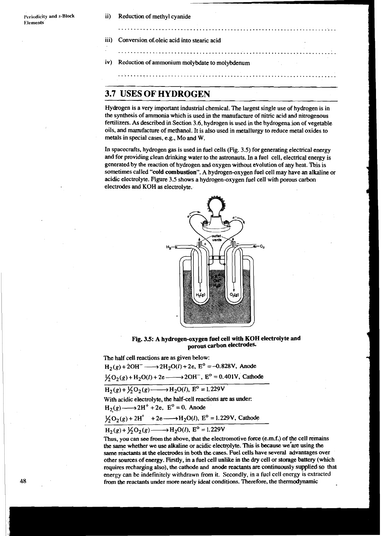- ii) Reduction of methyl cyanide
	-
- iii) Conversion of.oleic acid into stearic acid
	- ......................................................................
- iv) Reduction of ammonium molybdate to molybdenum

#### ......................................................................

## **3.7 USES OF HYDROGEN**

Hydrogen is a very important industrial chemical. The largest single use of hydrogen is in the synthesis of ammonia which is used in the manufacture of nitric acid and nitrogenous fertilizers. As described in Section 3.6, hydrogen is used in the hydrogena ion of vegetable oils, and mamfacture of methanol. It is also used in metallurgy to reduce metal oxides to metals in special cases, e.g., Mo and W.

......................................................................

In spacecrafts, hydrogen gas is used in fuel cells (Fig. 3.5) for generating electrical energy and for providing clean drinking water to the astronauts. In a fuel cell, electrical energy is generated by the reaction of hydrogen **and** oxygen without eVolution of my heat. **TOis** is sometimes called **"cold combustion".** A hydrogen-oxygen fuel cell may have an alkaline or acidic electrolyte. Figure 3.5 shows a hydrogen-oxygen fuel cell with porous carbon electrodes and KOH **as** electrolyte.



**Fig. 3.5: A hydrogen-oxygen fuel cell with KOH electrolyte and carbon electrodes.** 

The half cell reactions **are as** given below:

 $H_2(g) + 2OH^ \longrightarrow$   $2H_2O(l) + 2e$ ,  $E^0 = -0.828V$ , Anode The half cell reactions are as given below:<br>  $H_2(g) + 2OH^- \longrightarrow 2H_2O(l) + 2e$ ,  $E^0 = -0.828V$ , Anode<br>  $\frac{1}{2}O_2(g) + H_2O(l) + 2e \longrightarrow 2OH^-$ ,  $E^0 = 0.401V$ , Cathode  $H_2(g) + 2OH^ \longrightarrow$   $2H_2O(l) + 2e$ ,  $E^0 = -0.82$ <br>  $\frac{1}{2}O_2(g) + H_2O(l) + 2e \longrightarrow 2OH^-$ ,  $E^0 = 0.4$ <br>  $H_2(g) + \frac{1}{2}O_2(g) \longrightarrow H_2O(l)$ ,  $E^0 = 1.229V$ 

$$
H_2(g) + \frac{1}{2}O_2(g) \longrightarrow H_2O(l), E^0 = 1.229V
$$

With acidic electrolyte, the half-cell reactions **are** as under:

 $H_2(g) + \frac{1}{2}O_2(g) \longrightarrow H_2O(l), E^{\circ} =$ <br>With acidic electrolyte, the half-cell reach<br> $H_2(g) \longrightarrow 2H^+ + 2e, E^{\circ} = 0$ , Anode

$$
\frac{1}{2}O_2(g) + 2H^+ + 2e \longrightarrow H_2O(l)
$$
,  $E^0 = 1.229V$ , Catholic.

$$
H_2(g) \longrightarrow 2H^+ + 2e, E^0 = 0, \text{ Anode}
$$
  
\n
$$
\frac{1}{2}O_2(g) + 2H^+ + 2e \longrightarrow H_2O(l), E^0 = 1.22
$$
  
\n
$$
H_2(g) + \frac{1}{2}O_2(g) \longrightarrow H_2O(l), E^0 = 1.229V
$$
  
\nThus, you can see from the above, that the electric

Thus, you can **see** from the above, that the electromotive force (emf.) of the cell remains the same whether we use alkaline or acidic electrolyte. This is because we are using the same reactants at the electrodes in both the cases. Fuel cells have several advantages over other sources of energy. Firstly, in a fuel cell unlike in the dry cell or storage **battery** (which requires recharging also), **the** cathode and anode reactants are continuously supplied so that energy can be indefinitely withdrawn from it. Secondly, in a fuel cell energy is extracted from the reactants under more nearly ideal conditions. Therefore, the thermodynamic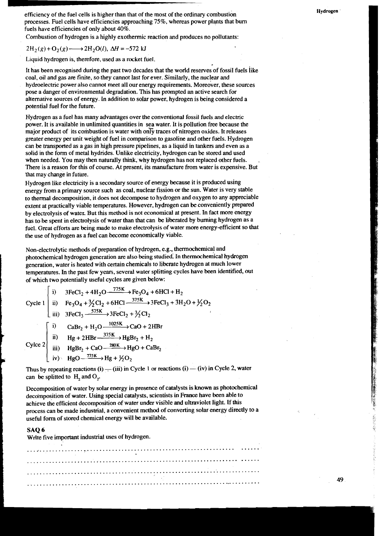efficiency of the fuel cells is higher than that of the most of the ordinary combustion processes. Fuel cells have efficiencies approaching 75%, whereas power plants that bum fuels have efficiencies of only about 40%.

Combustion of hydrogen is a highly exothermic reaction and produces no pollutants:

 $2H_2(g) + O_2(g) \longrightarrow 2H_2O(l)$ ,  $\Delta H = -572$  kJ

Liquid hydrogen is, therefore, used as a rocket fuel.

It has been recognised during the past two decades that the world reserves of fossil fuels like coal, oil and gas are finite, so they cannot last for ever. Similarly, the nuclear and hydroelectric power also cannot meet all our energy requirements. Moreover, these sources pose a danger of environmental degradation. This has prompted an active search for alternative sources of energy. In addition to solar power, hydrogen is being considered a potential fuel for the future.

Hydrogen as a fuel has many advantages over the conventional fossil fuels and electric power. It is available in unlimited quantities in sea water. It is pollution free because the major product of its combustion is water with only traces of nitrogen oxides. It releases greater energy per unit weight of fuel in comparison to gasoline and other fuels. Hydrogen can be transported **as** a gas in high pressure pipelines, **as** a liquid in tankers and even as a solid in the form of metal hydrides. Unlike electricity, hydrogen can be stored and used when needed. You may then naturally think, why hydrogen has not replaced other fuels. There is a reason for this of course. At present, its manufacture from water is expensive. But that may change in future.

Hydrogen like electricity is a secondary source of energy because it is produced using energy from a primary source such **as** coal, nuclear fission or the sun. Water is very stable to thermal decomposition, it does not decompose to hydrogen and oxygen to any appreciable extent at practically viable temperatures. However, hydrogen can be conveniently prepared by electrolysis of watez. But this method is not economical at present. In fact more energy has to be spent in electrolysis of water than that can be liberated by burning hydrogen as a fuel. Great efforts are being made to make electrolysis of water more energy-efficient so that the use of hydrogen as a fuel can become economically viable.

Non-electrolytic methods of preparation of hydrogen, e.g., thermochemical and photochemical hydrogen generation are also being studied: In thermochemical hydrogen generation, water is heated with certain chemicals to liberate hydrogen at much lower temperatures. In the past few years, several water splitting cycles have been identified, out

|  |  | temperatures. In the past few years, several water splitting cycles have been<br>of which two potentially useful cycles are given below:                                                                                                                                                                                                                                                                |
|--|--|---------------------------------------------------------------------------------------------------------------------------------------------------------------------------------------------------------------------------------------------------------------------------------------------------------------------------------------------------------------------------------------------------------|
|  |  |                                                                                                                                                                                                                                                                                                                                                                                                         |
|  |  | Cycle 1 ii) $3FeCl_2 + 4H_2O \frac{775K}{100} + 6HCl + H_2$<br>Cycle 1 iii) $Fe_3O_4 + \frac{3}{2}Cl_2 + 6HCl - \frac{375K}{1000} + 3FeCl_3 + 3H_2O + \frac{1}{2}O_2$<br>iii) $3FeCl_3 \xrightarrow{575K} 3FeCl_2 + \frac{3}{2}Cl_2$                                                                                                                                                                    |
|  |  |                                                                                                                                                                                                                                                                                                                                                                                                         |
|  |  | Cylce 2<br>$\begin{bmatrix}\ni & \text{CaBr}_2 + \text{H}_2\text{O} \xrightarrow{1025\text{K}} \text{CaO} + 2\text{HBr} \\ ii) & \text{Hg} + 2\text{HBr} \xrightarrow{375\text{K}} \text{HgBr}_2 + \text{H}_2 \\ iii) & \text{HgBr}_2 + \text{CaO} \xrightarrow{280\text{K}} \text{HgO} + \text{CaBr}_2 \\ iv) & \text{HgO} \xrightarrow{775\text{K}} \text{Hg} + \frac{1}{2}\text{O}_2\n\end{bmatrix}$ |
|  |  |                                                                                                                                                                                                                                                                                                                                                                                                         |
|  |  |                                                                                                                                                                                                                                                                                                                                                                                                         |
|  |  |                                                                                                                                                                                                                                                                                                                                                                                                         |

Thus by repeating reactions (i)  $-$  (iii) in Cycle 1 or reactions (i)  $-$  (iv) in Cycle 2, water can be splitted to  $H<sub>1</sub>$ , and  $O<sub>2</sub>$ .

Decomposition of water by solar energy in presence of catalysts is known **as** photochemical decomposition of water. Using special catalysts, scientists in France have been able to achieve the efficient decomposition of water under visible and ultraviolet light. If this process can be made industrial, a convenient method of converting solar energy directly to a useful form of stored chemical energy will be available.

#### SAQ 6

Write five important industrial uses of hydrogen.

**医学的医学家的 经外汇的 医光线**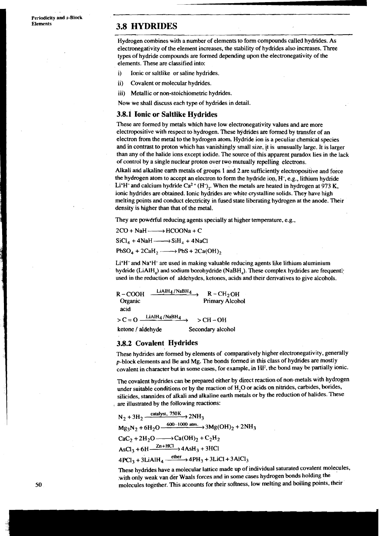**Periodicity and s-Block** 

## **Elements 3.8 HYDRIDES**

Hydrogen combines with a number of elements to form compounds called hydrides. As electronegativity of the element increases, the stability of hydrides also increases. Three types of hydride compounds are formed depending upon the electronegativity of the elements. These are classified into:

- i) Ionic or saltlike or saline hydrides.
- ii) Covalent or molecular hydrides.
- iii) Metallic or non-stoichiometric hydrides.

Now we shall discuss each type of hydrides in detail.

#### 3.8.1 **Ionic or Saltlike Hydrides**

These are formed by metals which have low electronegativity values and are more electropositive with respect to hydrogen. These Wdrides are formed by transfer of an electron from the metal to the hydrogen atom. Hydride ion is a peculiar chemical species and in contrast to proton which has vanishingly small size, it is unusually large. It is larger than any of the halide ions except iodide. The source of this apparent paradox lies in the lack of control by a single nuclear proton over two mutually repelling electrons.

Alkali and alkaline earth metals of groups 1 and 2 are sufficiently electropositive and force the hydrogen atom to accept an electron to form the hydride ion, H-, e.g., lithium hydride Li<sup>+</sup>H<sup>-</sup> and calcium hydride Ca<sup>2+</sup> (H<sup>-</sup>),. When the metals are heated in hydrogen at 973 K, ionic hydrides are obtained. Ionic hydrides are white crystalline solids. They have high melting points and conduct electricity in fused state liberating hydrogen at the anode. Their density is higher than that of the metal.

They are powerful reducing agents specially at higher temperature, e.g.,

 $2CO + NaH$   $\longrightarrow$   $HCOONa + C$  $SiCl_4 + 4NaH \longrightarrow SiH_4 + 4NaCl$  $PbSO_4 + 2CaH_2 \longrightarrow PbS + 2Ca(OH)_2$ 

 $Li<sup>+</sup>H<sup>-</sup>$  and Na<sup>+</sup>H<sup>-</sup> are used in making valuable reducing agents like lithium aluminium hydride (LiAIH<sub>a</sub>) and sodium borohydride (NaBH<sub>a</sub>). These complex hydrides are frequently used in the reduction of aldehydes, ketones, acids and their derivatives to give alcohols.

 $R-COOH$   $\xrightarrow{\text{LiAlH}_4/\text{NaBH}_4} R-CH_2OH$ <br>Organic Primary Alcoh Primary Alcohol acid  $> C = O \frac{\text{LiAlH}_4 / \text{NaBH}_4}{\text{LiAlH}_4 / \text{NaBH}_4}$  > CH-OH ketone / aldehyde Secondary alcohol

#### **38.2 Covalent Hydrides**

These hydrides are formed by elements of comparatively higher electronegativity, generally p-block elements and Be and Mg. The bonds formed in this class of hydrides are mostly covalent in character but in some cases, for example, in HF, the bond may be partially ionic.

The covalent hydrides can be prepared either by direct reaction of non-metals with hydrogen under suitable conditions or by the reaction of **H,O** or acids on nitrides, carbides, borides, silicides, stamides of alkali and alkaline earth metals or by the reduction of halides. These are illustrated by the following reactions:

 $N_2 + 3H_2 \xrightarrow{\text{catalyst, } 750K} 2NH_3$  $Mg_3N_2 + 6H_2O \xrightarrow{600-1000 \text{ atm}} 3Mg(OH)_2 + 2NH_3$  $CaC_2 + 2H_2O \longrightarrow Ca(OH)_2 + C_2H_2$  $AsCl<sub>3</sub> + 6H \xrightarrow{Zn + HCl} 4AsH<sub>3</sub> + 3HCl$  $4PCl_3 + 3LiAlH_4 \xrightarrow{either} 4PH_3 + 3LiCl + 3AlCl_3$ 

These hydrides have a molecular lattice made up of individual saturated covalent molecules, .with only weak van der Waals forces and in some cases hydrogen bonds holding the molecules together. This accounts for their softness, low melting and boiling points. their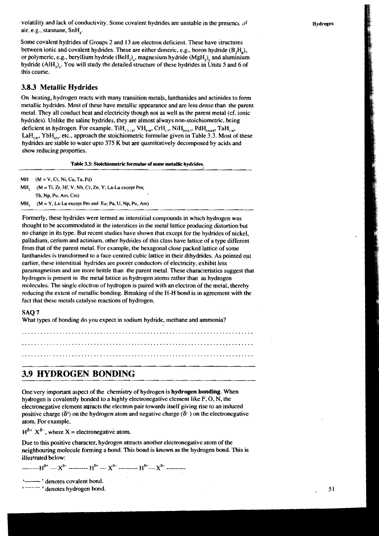volatility and lack of conductivity. Some covalent hydrides are unstable in the presence of air, e.g., stannane, SnH,.

**Hydrogen** 

Some covalent hydrides of Groups 2 and 13 are electron deficient. These have structures between ionic and covalent hydrides. These are either dimeric, e.g., boron hydride  $(B,H_1)$ , or polymeric, e.g., beryllium hydride  $(BeH<sub>2</sub>)<sub>n</sub>$ , magnesium hydride  $(MgH<sub>2</sub>)<sub>n</sub>$ , and aluminium hydride (AIH<sub>1</sub>), You will study the detailed structure of these hydrides in Units 5 and 6 of this course.

#### **3.8.3 Metallic Hydrides**

On heating, hydrogen reacts with many transition metals, lanthanides and actinides to form metallic hydrides. Most of these have metallic appearance and are less dense than the parent metal. They all conduct heat and electricity though not as well as the parent metal (cf. ionic hydrides). Unlike the saline hydrides, they are almost always non-stoichiometric, being deficient in hydrogen. For example, TiH<sub>1518</sub>, VH<sub>064</sub>, CrH<sub>17</sub>, NiH<sub>0647</sub>, PdH<sub>0648</sub>, TaH<sub>76</sub>, LaH,<sub>n</sub>, YbH<sub>151</sub>, etc., approach the stoichiometric formulae given in Table 3.3. Most of these hydrides are stable to water upto 375 K but are quantitatively decomposed by acids and show reducing properties.

**Table 3.3: Stoichiometric formulae of some metallic hydrides.** 

**MH (M** = **V, Cr, NI, Cu, Ta, Pd)** 

**MY (M =Ti, Zr, Hf, V, Nb, Cr, Zn, Y, La-Lu except Pm, Th, Np. Pu, Am, Cm)** 

 $MH_1$  ( $M = Y$ , La-Lu except Pm and Eu; Pa, U, Np, Pu, Am)

Formerly, these hydrides were termed as interstitial compounds in which hydrogen was thought to be accommodated in the interstices in the metal lattice producing distortion but no change in its type. But recent studies have shown that except for the hydrides of nickel, palladium, cerium and actinium, other hydrides of this class have lattice of a type different from that of the parent metal. For example, the hexagonal close packed lattice of some lanthanides is transformed to a face-centred cubic lattice in their dihydrides. As pointed out earlier, these interstitial hydrides are poorer conductors of electricity, exhibit less paramagnetism and are more brittle than the parent metal. These characteristics suggest that hydrogen is present in the metal lattice as hydrogen atoms rather than as hydrogen molecules. The single electron of hydrogen is paired with an electron of the metal, thereby reducing the extent of metallic bonding. Breaking of the H-H bond is in agreement with the fact that these metals catalyse reactions of hydrogen.

#### SAQ 7

What types of bonding do you expect **m** sodium hydride, methane and ammonia?

.......................................................................... .......................................................................... ..........................................................................

## **3.9 HYDROGEN BONDING**

One very important aspect of the chemistry of hydrogen is **hydrogen bonding.** When hydrogen is covalently bonded to a highly electronegative element like F, O, N, the electronegative element attracts the electron pair towards itself giving rise to an induced positive charge  $(\delta^*)$  on the hydrogen atom and negative charge  $(\delta^-)$  on the electronegative atom. For example,

 $H^{\delta+} X^{\delta-}$ , where X = electronegative atom.

Due to this positive character, hydrogen attracts another electronegative atom of the neighbouring molecule forming a bond. This bond is known as the hydrogen bond. This is illustrated below:

- - - - - - -- **H6'** - **x6** --------- **H&** - **X&** --------- H\*- **X&** ---------

-' denotes covalent bond.

' -------- ' denotes hydrogen bond.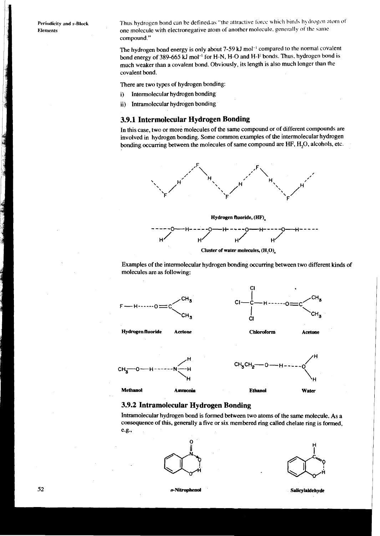**Periodicity and s-Hluck Elements** 

Thus hydrogen bond can be defined as "the attractive force which binds hydrogen atom of one molecule with electronegative atom of another molecule, generally of the same compound."

The hydrogen bond energy is only about 7-59 kJ mol<sup>-1</sup> compared to the normal covalent bond energy of 389-665 kJ mol<sup>-1</sup> for H-N, H-O and H-F bonds. Thus. hydrogen bond is much weaker than a covalent bond. Obviously, its length is also much longer than the covalent bond.

There are two types of hydrogen bonding:

- i) Intermolecular hydrogen bonding
- ii) Intramolecular hydrogen bonding

## **3.9.1 Intermolecular Hydrogen Bonding**

In this case, two or more molecules of the same compound or of different compounds are involved in hydrogen bonding. Some common examples of the intermolecular hydrogen bonding occurring between the molecules of same compound are HF, H<sub>2</sub>O, alcohols, etc.







Examples of the intermolecular hydrogen bonding occurring between two different kinds of molecules are as following:



### **3.9.2 Intramolecular Hydrogen Bonding**

Intramolecular hydrogen bond is formed between two atoms of the same molecule. As a consequence of this, generally a five or six membered ring called chelate ring is formed, e.g.,





o-Nitrophenol

Salicylaldehyde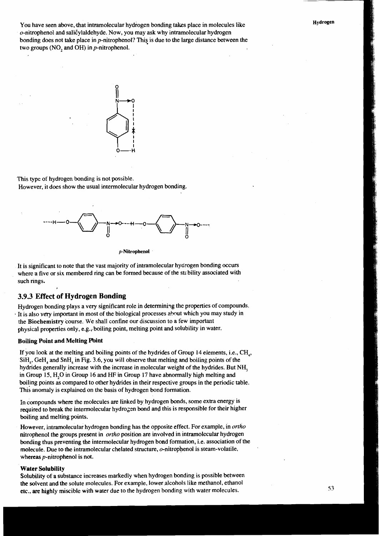You have seen above, that intramolecular hydrogen bonding takes place in molecules like  $o$ -nitrophenol and salicylaldehyde. Now, you may ask why intramolecular hydrogen bonding does not take place in p-nitrophenol? This is due to the large distance between the two groups (NO, and OH) in  $p$ -nitrophenol.



This type of hydrogen bonding is not possible. However, it does show the usual intermolecular hydrogen bonding.



**p-Nitrophenol** 

It is significant to note that the vast majority of intramolecular hydrogen bonding occurs where a five or six membered ring can be formed because of the stability associated with such rings.

#### **3.9.3 Effect of Hydrogen Bonding**

Hydrogen bonding plays a very significant role in determining the properties of compounds. It is also very important in most of the biological processes about which you may study in the Biochemistry course. We shall confine our discussion to a few important physical properties only, e.g., boiling point, melting point and solubility in water.

#### Boiling Point and Melting Pbint

If you look at the melting and boiling points of the hydrides of Group 14 elements, i.e.,  $CH<sub>a</sub>$ ,  $SH<sub>4</sub>$ , GeH<sub>4</sub> and SnH<sub>4</sub> in Fig. 3.6, you will observe that melting and boiling points of the hydrides generally increase with the increase in molecular weight of the hydrides. But NH, in Group 15, H,O in Group 16 and **HF** in Group 17 have abnormally high melting and boiling points as compared to other hydrides in their respective groups in the periodic table. This anomaly is explained on the basis of hydrogen bond formation.

In compounds where the molecules are linked by hydrogen bonds, some extra energy is required to break the intermolecular hydrogen bond and this is responsible for their higher boiling and melting points.

However, intramolecular hydrogen bonding has the opposite effect. For example, in *ortho* nitrophenol the groups present in *ortho* position are involved in intramolecular hydrogen bonding thus preventing the intermolecular hydrogen bond formation, i.e. association of the molecule. Due to the intramolecular chelated structure,  $o$ -nitrophenol is steam-volatile, whereas p-nitrophenol is not.

#### Water Solubility

Solubility of a substance increases markedly when hydrogen bonding is possible between the solvent and the solute molecules. For example, lower alcohols like methanol, ethanol etc.. are highly miscible with water due to the hydrogen bonding with water molecules.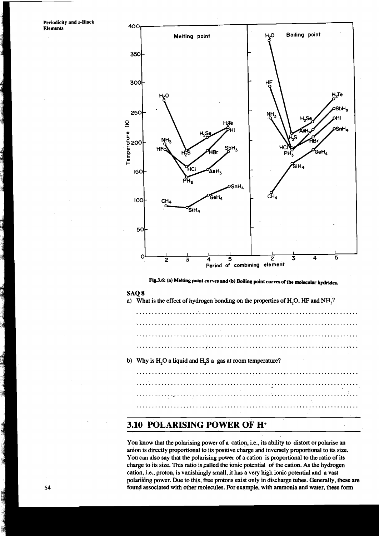**Periodicity and s-Block Elements** 



**Fig3.6: (a) Melting point curves and (b) Boiling point curves of the molecular hydrides.** 

#### SAQ 8

- a) What is the effect of hydrogen bonding on the properties of H;O, **HF** and **NH,?**
- b) Why is H<sub>2</sub>O a liquid and H<sub>2</sub>S a gas at room temperature?

. . . . . . . . . . . . . . . . . . . . . . . . . . . . . . . . . . .

## **3.10 POLARISING POWER OF H+**

You know that the polarising power of a cation, i.e., its ability to distort or polarise an anion is directly proportional to its positive charge and inversely proportional to its size. You can also say that the polarising power of a cation is proportional to the ratio of its charge to its size. This ratio is called the ionic potential of the cation. As the hydrogen cation, i.e., proton, is vanishingly small, it has a very high ionic potential and a vast polarising power. Due to this, free protons exist only in discharge tubes. Generally, these are found associated with other molecules. For example, with ammonia and water, these form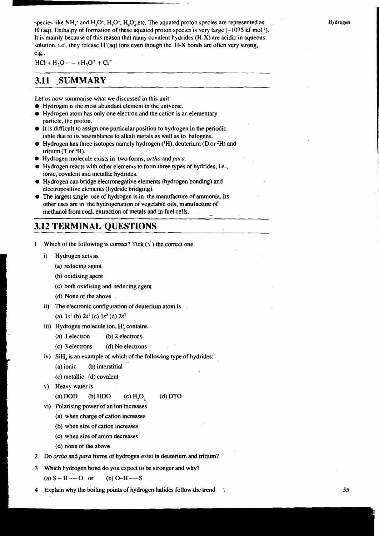species like NH $_{\star}$  and H<sub>1</sub>O<sup>t</sup>, H<sub>2</sub>O<sup>t</sup>, H<sub>2</sub>O<sub>4</sub>,etc. The aquated proton species are represented as H'(aq). Enthalpy of formation of these aquated proton species is very large  $(-1075 \text{ kJ mol}^{-1})$ . It is mainly because of this reason that many covalent hydrides (H-X) are acidic in aqueous solution, i.e., they release  $H^*(aq)$  ions even though the  $H-X$  bonds are often very strong, e.g..

 $HCI + H<sub>2</sub>O \longrightarrow H<sub>3</sub>O<sup>+</sup> + Cl<sup>-</sup>$ 

#### **SUMMARY** 3.11

Let us now summarise what we discussed in this unit:

- Hydrogen is the most abundant element in the universe.
- **a** Hydrogen atom has only one electron and the cation is an elementary particle, the proton.
- It is difficult to assign one particular position to hydrogen in the periodic table due to its resemblance to alkali metals as well as to halogens.
- $\bullet$  Hydrogen has three isotopes namely hydrogen ( $^1$ H), deuterium (D or  $^2$ H) and tritium  $(T$  or  ${}^{3}H$ ).
- Hydrogen molecule exists in two forms, *ortho* and *para.*
- $\bullet$  Hydrogen reacts with other elemenrs to form three types of hydrides, i.e., ionic, covalent and metallic hydrides.
- Hydrogen can bridge electronegative elements (hydrogen bonding) and electropositive elements (hydride bridging).
- The largest single use of hydrogen is in the manufacture of ammonia. Its other uses are in the hydrogenation of vegetable oils, manufacture of methanol from coal, extraction of metals and in fuel cells. -

## **3.12 TERMINAL OUESTIONS**

1 Which of the following is correct? Tick  $(\sqrt{\ } )$  the correct one.

- i) Hydrogen acts as
	- (a) reducing agent
	- (b) oxidising agent
	- (c) both oxidising and reducing agent
	- (d) None of the above
- ii) The electronic configuration of deuterium atom is

(a)  $1s^1$  (b)  $2s^1$  (c)  $1s^2$  (d)  $2s^2$ 

- iii) Hydrogen molecule ion,  $H_2^*$  contains
	- (a) 1 electron **0)** 2 electrons
	- (c) 3 electrons (d) No electrons
- iv) SiH, is an example of which of the following type of hydrides: **<sup>c</sup>**
	- $(a)$  ionic (b) interstitial
	- (c) metallic (d) covalent
- v) Heavy water is

**f** 

(a) DOD (b) HDO (c)  $H_2O_2$  (d) DTO

- vi) Polarising power of an ion increases
	- (a) when charge of cation increases
	- (b) when size of cation increases
	- **<sup>I</sup>**(c) when size of anion decreases
	- (d) none of the above
- 2 Do *ortho* and *para* forms of hydrogen exist in deuterium and tritium?
- 3 Which hydrogen bond do you expect to be stronger and why?

(a)  $S - H$  -----  $O$  or (b)  $O-H$  ----  $S$ 

4 Explain why the boiling points of hydrogen halides follow.the trend **55**